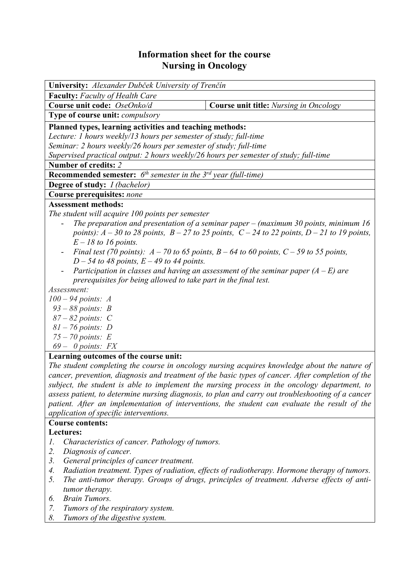## **Information sheet for the course Nursing in Oncology**

| University: Alexander Dubček University of Trenčín                                                   |  |  |  |  |  |  |
|------------------------------------------------------------------------------------------------------|--|--|--|--|--|--|
| <b>Faculty:</b> Faculty of Health Care                                                               |  |  |  |  |  |  |
| Course unit code: OseOnko/d<br><b>Course unit title:</b> Nursing in Oncology                         |  |  |  |  |  |  |
| Type of course unit: compulsory                                                                      |  |  |  |  |  |  |
| Planned types, learning activities and teaching methods:                                             |  |  |  |  |  |  |
| Lecture: 1 hours weekly/13 hours per semester of study; full-time                                    |  |  |  |  |  |  |
| Seminar: 2 hours weekly/26 hours per semester of study; full-time                                    |  |  |  |  |  |  |
| Supervised practical output: 2 hours weekly/26 hours per semester of study; full-time                |  |  |  |  |  |  |
| Number of credits: 2                                                                                 |  |  |  |  |  |  |
| <b>Recommended semester:</b> $6^{th}$ semester in the $3^{rd}$ year (full-time)                      |  |  |  |  |  |  |
| Degree of study: <i>I (bachelor)</i>                                                                 |  |  |  |  |  |  |
| Course prerequisites: none                                                                           |  |  |  |  |  |  |
| <b>Assessment methods:</b>                                                                           |  |  |  |  |  |  |
| The student will acquire 100 points per semester                                                     |  |  |  |  |  |  |
| The preparation and presentation of a seminar paper – (maximum 30 points, minimum 16                 |  |  |  |  |  |  |
| points): $A - 30$ to 28 points, $B - 27$ to 25 points, $C - 24$ to 22 points, $D - 21$ to 19 points, |  |  |  |  |  |  |
| $E - 18$ to 16 points.                                                                               |  |  |  |  |  |  |
| Final test (70 points): $A - 70$ to 65 points, $B - 64$ to 60 points, $C - 59$ to 55 points,         |  |  |  |  |  |  |
| $D - 54$ to 48 points, $E - 49$ to 44 points.                                                        |  |  |  |  |  |  |
| Participation in classes and having an assessment of the seminar paper $(A - E)$ are                 |  |  |  |  |  |  |
| prerequisites for being allowed to take part in the final test.                                      |  |  |  |  |  |  |
| Assessment:                                                                                          |  |  |  |  |  |  |
| $100 - 94$ points: A                                                                                 |  |  |  |  |  |  |
| $93 - 88$ points: B                                                                                  |  |  |  |  |  |  |
| $87 - 82$ points: C                                                                                  |  |  |  |  |  |  |
| $81 - 76$ points: D                                                                                  |  |  |  |  |  |  |
| $75 - 70$ points: E                                                                                  |  |  |  |  |  |  |
| $69 - 0$ points: FX                                                                                  |  |  |  |  |  |  |
| Learning outcomes of the course unit:                                                                |  |  |  |  |  |  |
| The student completing the course in oncology nursing acquires knowledge about the nature of         |  |  |  |  |  |  |
| cancer, prevention, diagnosis and treatment of the basic types of cancer. After completion of the    |  |  |  |  |  |  |
| subject, the student is able to implement the nursing process in the oncology department, to         |  |  |  |  |  |  |
| assess patient, to determine nursing diagnosis, to plan and carry out troubleshooting of a cancer    |  |  |  |  |  |  |
| patient. After an implementation of interventions, the student can evaluate the result of the        |  |  |  |  |  |  |
| application of specific interventions.                                                               |  |  |  |  |  |  |
| <b>Course contents:</b>                                                                              |  |  |  |  |  |  |
| Lectures:                                                                                            |  |  |  |  |  |  |
| Characteristics of cancer. Pathology of tumors.<br>1.                                                |  |  |  |  |  |  |
| 2.<br>Diagnosis of cancer.                                                                           |  |  |  |  |  |  |

- *3. General principles of cancer treatment.*
- *4. Radiation treatment. Types of radiation, effects of radiotherapy. Hormone therapy of tumors.*
- *5. The anti-tumor therapy. Groups of drugs, principles of treatment. Adverse effects of antitumor therapy.*
- *6. Brain Tumors.*
- *7. Tumors of the respiratory system.*
- *8. Tumors of the digestive system.*